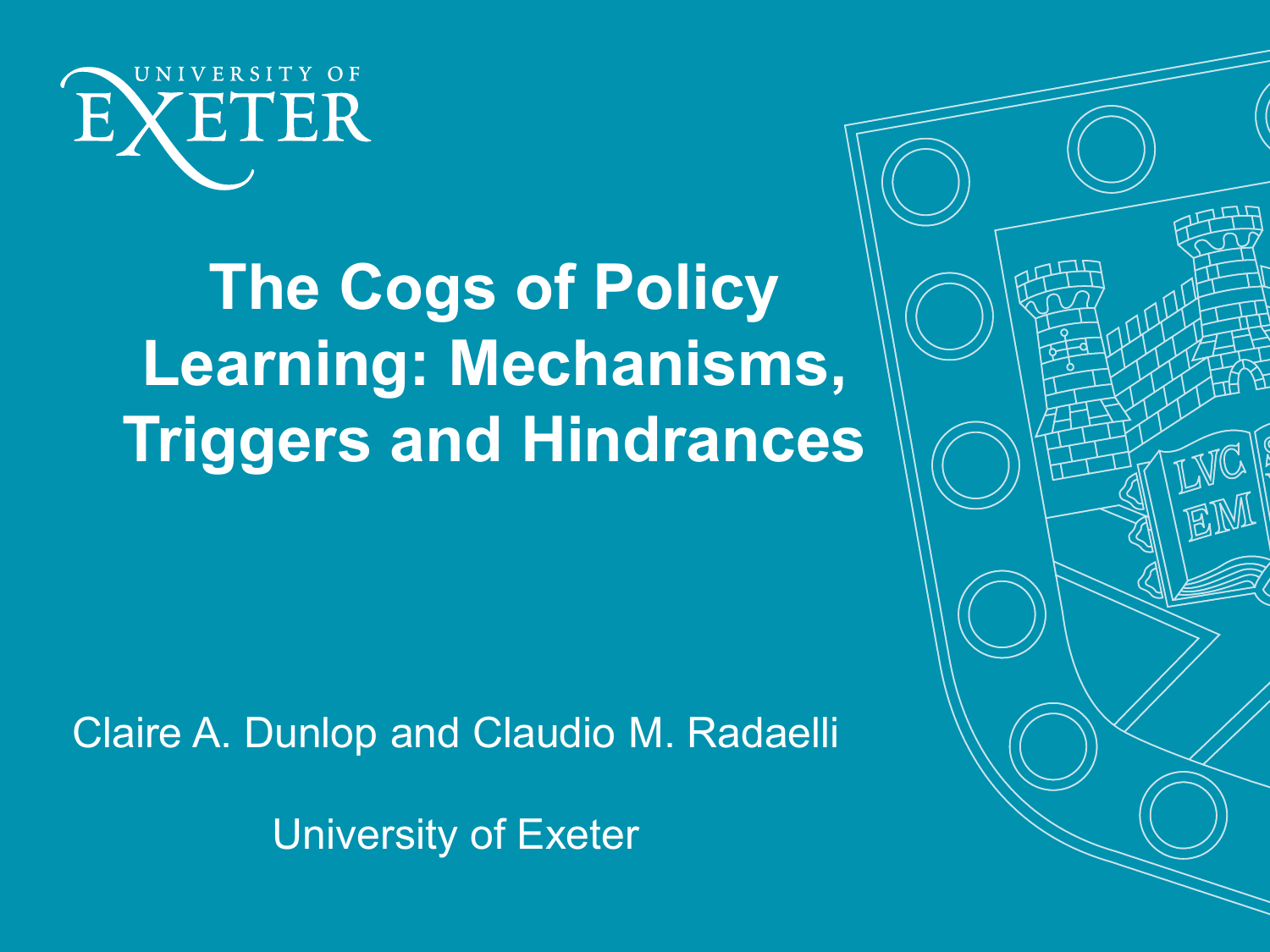

## **The Cogs of Policy Learning: Mechanisms, Triggers and Hindrances**

Claire A. Dunlop and Claudio M. Radaelli

University of Exeter

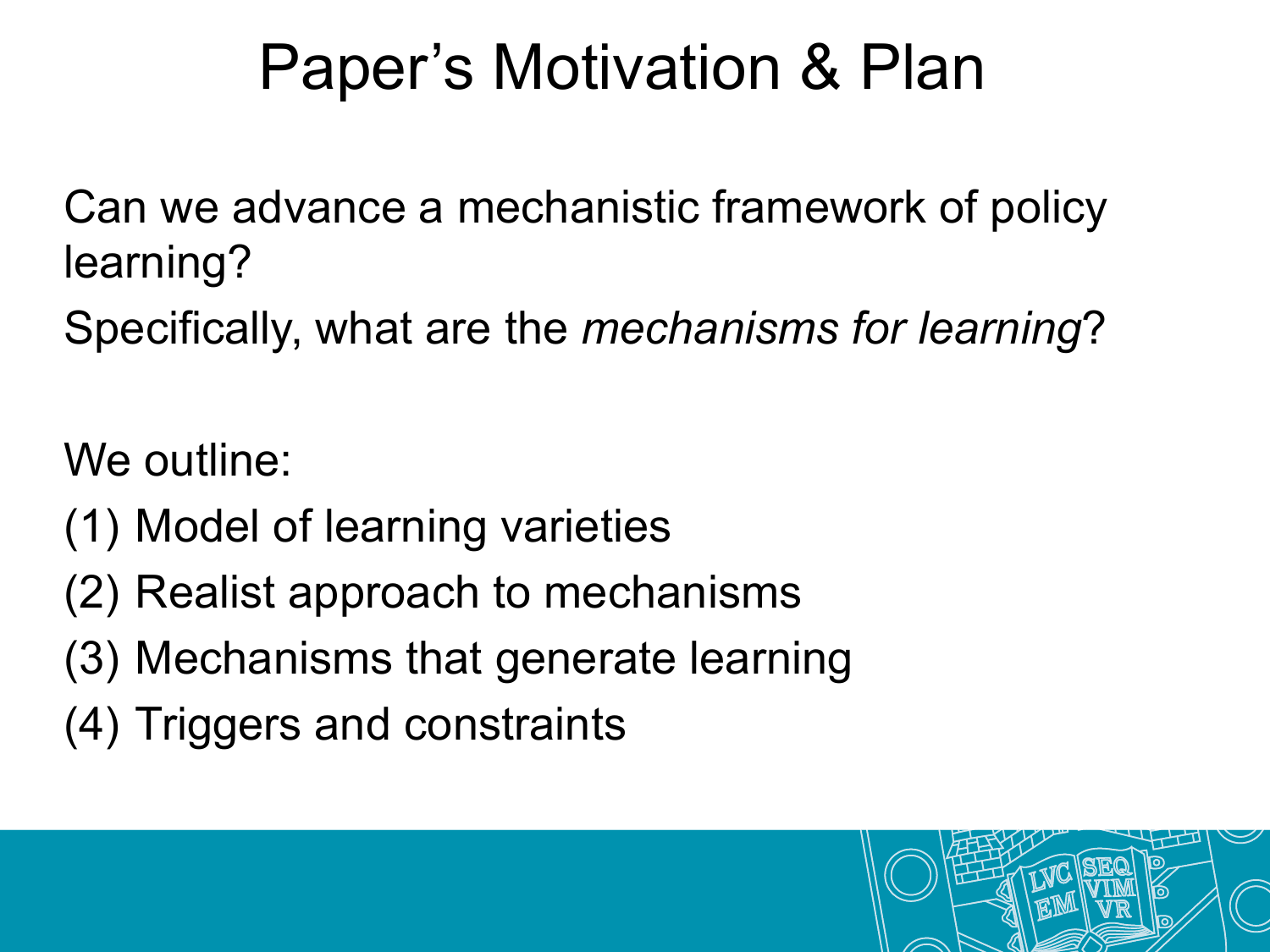### Paper's Motivation & Plan

Can we advance a mechanistic framework of policy learning?

Specifically, what are the *mechanisms for learning*?

We outline:

- (1) Model of learning varieties
- (2) Realist approach to mechanisms
- (3) Mechanisms that generate learning
- (4) Triggers and constraints

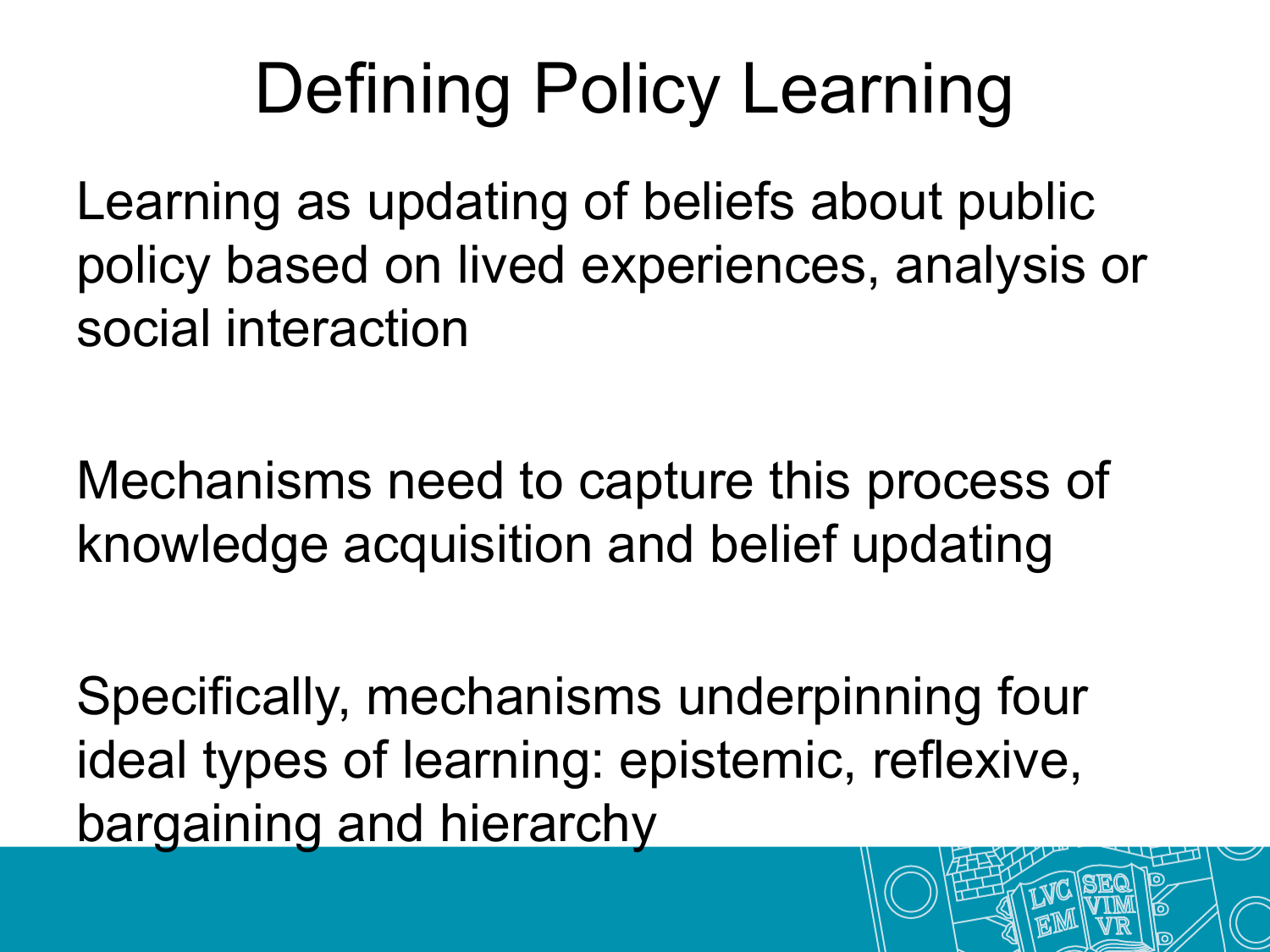# Defining Policy Learning

Learning as updating of beliefs about public policy based on lived experiences, analysis or social interaction

Mechanisms need to capture this process of knowledge acquisition and belief updating

Specifically, mechanisms underpinning four ideal types of learning: epistemic, reflexive, bargaining and hierarchy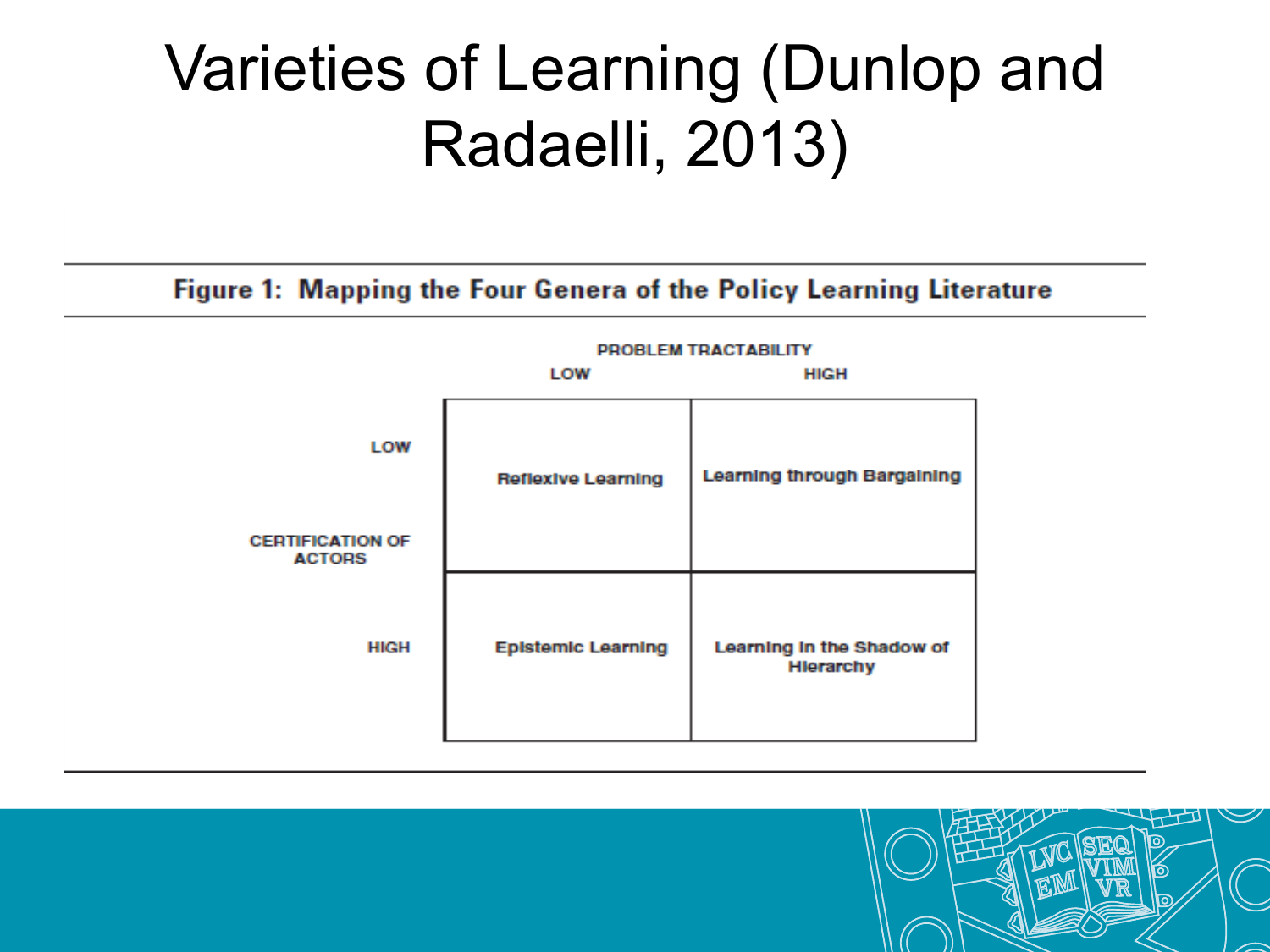## Varieties of Learning (Dunlop and Radaelli, 2013)

#### Figure 1: Mapping the Four Genera of the Policy Learning Literature



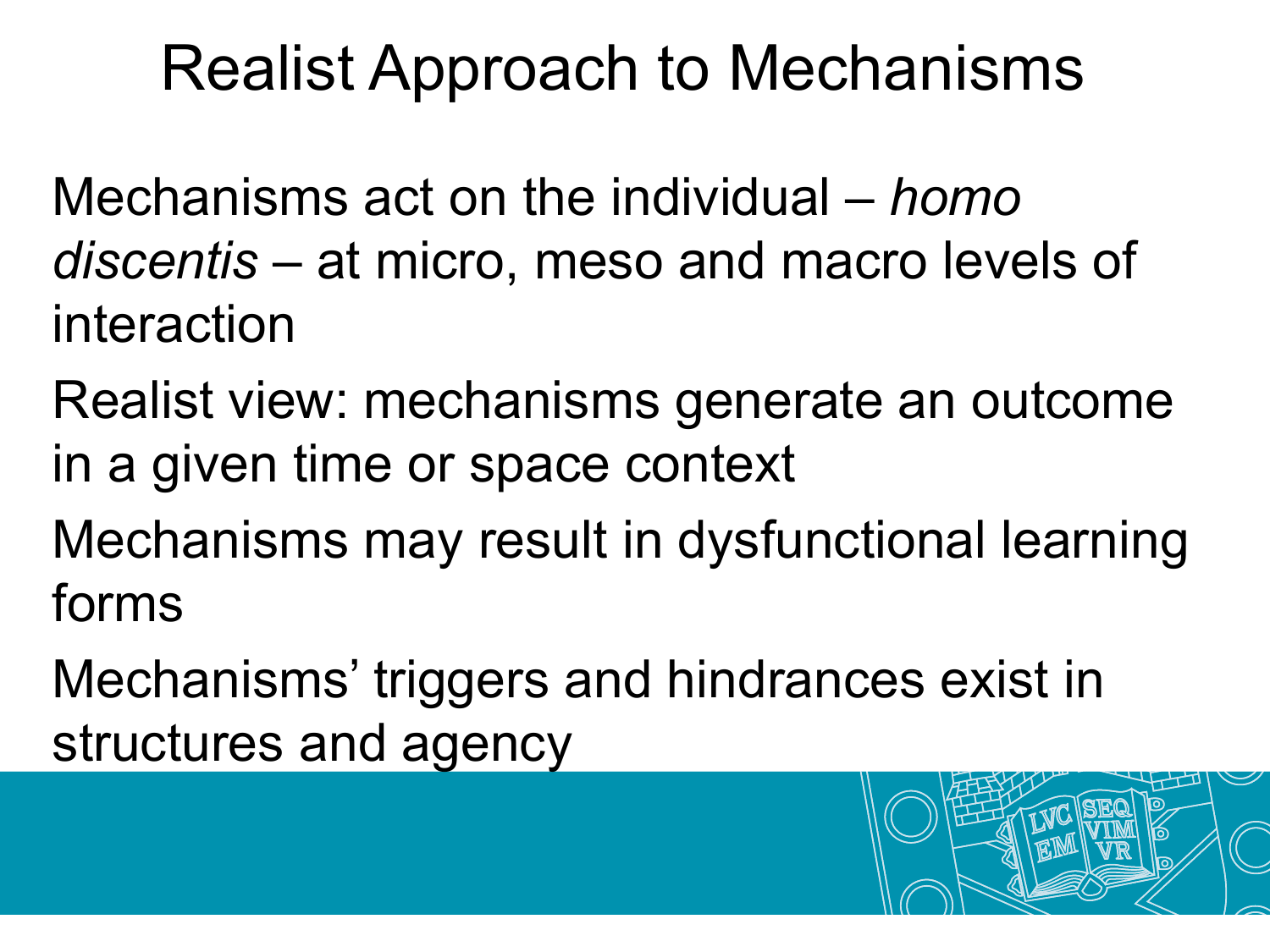#### Realist Approach to Mechanisms

Mechanisms act on the individual – *homo discentis* – at micro, meso and macro levels of interaction

Realist view: mechanisms generate an outcome in a given time or space context

Mechanisms may result in dysfunctional learning forms

Mechanisms' triggers and hindrances exist in structures and agency

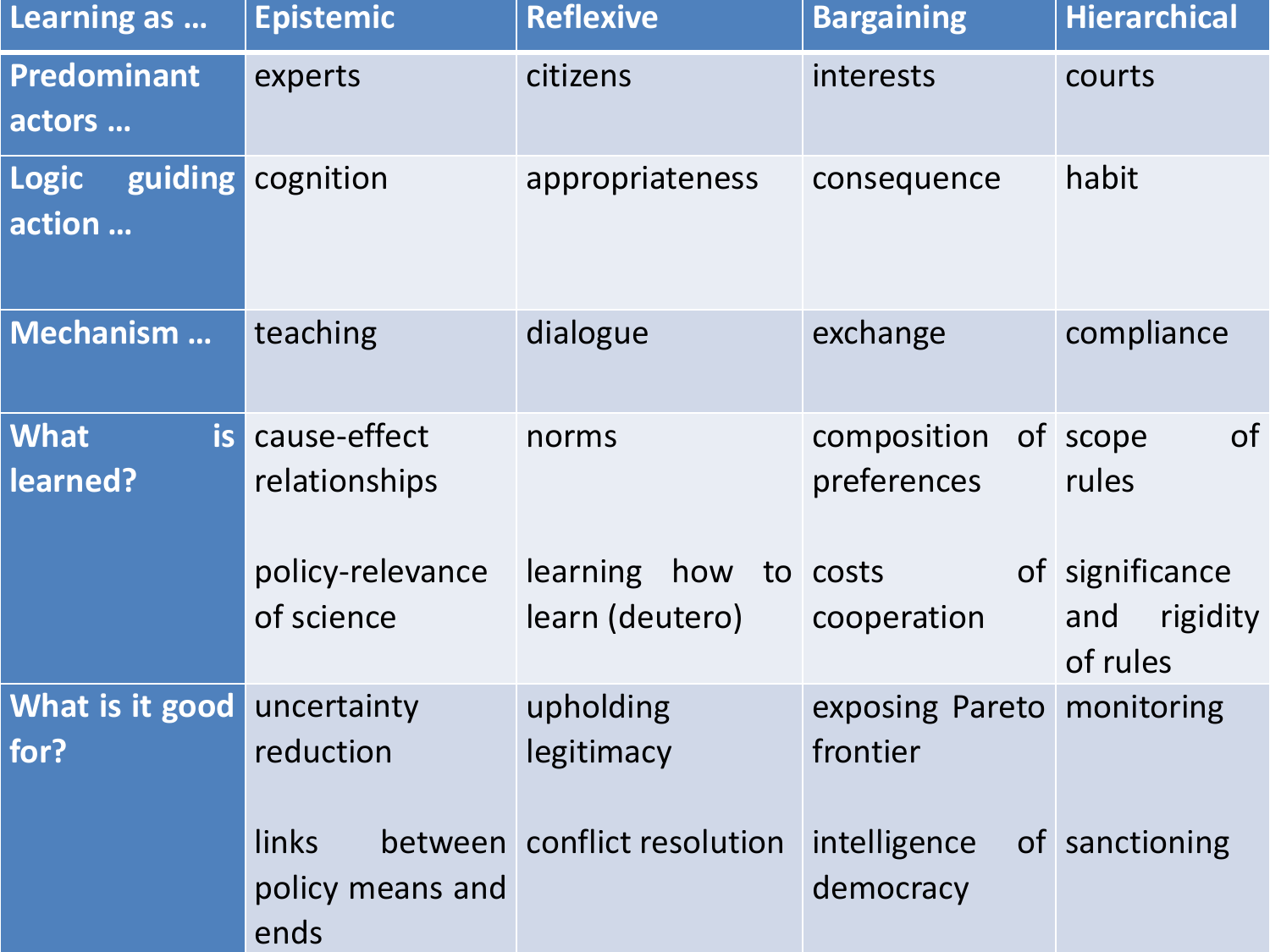| Learning as                       | <b>Epistemic</b>                  | <b>Reflexive</b>                   | <b>Bargaining</b>                      | <b>Hierarchical</b>                            |
|-----------------------------------|-----------------------------------|------------------------------------|----------------------------------------|------------------------------------------------|
| <b>Predominant</b><br>actors      | experts                           | citizens                           | interests                              | courts                                         |
| guiding<br><b>Logic</b><br>action | cognition                         | appropriateness                    | consequence                            | habit                                          |
| <b>Mechanism</b>                  | teaching                          | dialogue                           | exchange                               | compliance                                     |
| is<br><b>What</b><br>learned?     | cause-effect<br>relationships     | norms                              | composition<br>preferences             | of<br>of scope<br>rules                        |
|                                   | policy-relevance<br>of science    | learning<br>how<br>learn (deutero) | to costs<br>cooperation                | of significance<br>rigidity<br>and<br>of rules |
| What is it good<br>for?           | uncertainty<br>reduction          | upholding<br>legitimacy            | exposing Pareto monitoring<br>frontier |                                                |
|                                   | links<br>policy means and<br>ends | between conflict resolution        | intelligence<br>democracy              | of sanctioning                                 |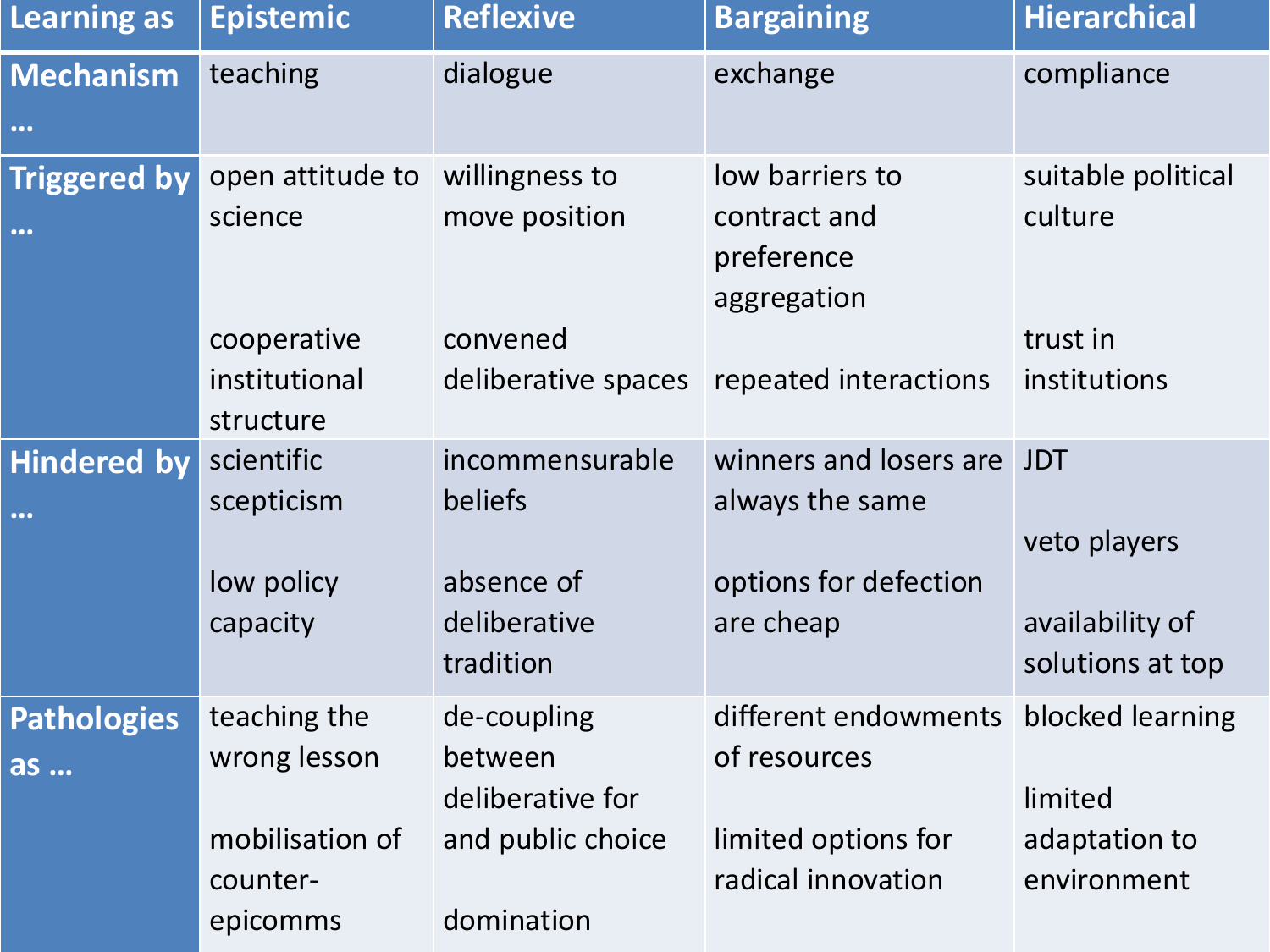| <b>Learning as</b>                                                         | <b>Epistemic</b> | <b>Reflexive</b>          | <b>Bargaining</b>                         | <b>Hierarchical</b>                 |
|----------------------------------------------------------------------------|------------------|---------------------------|-------------------------------------------|-------------------------------------|
| <b>Mechanism</b>                                                           | teaching         | dialogue                  | exchange                                  | compliance                          |
| $\begin{array}{ccccc}\n\bullet & \bullet & \bullet & \bullet\n\end{array}$ |                  |                           |                                           |                                     |
| <b>Triggered by</b>                                                        | open attitude to | willingness to            | low barriers to                           | suitable political                  |
| $\begin{array}{ccccc}\n\bullet & \bullet & \bullet & \bullet\n\end{array}$ | science          | move position             | contract and<br>preference<br>aggregation | culture                             |
|                                                                            | cooperative      | convened                  |                                           | trust in                            |
|                                                                            | institutional    | deliberative spaces       | repeated interactions                     | institutions                        |
|                                                                            | structure        |                           |                                           |                                     |
| Hindered by                                                                | scientific       | incommensurable           | winners and losers are                    | <b>JDT</b>                          |
| $\begin{array}{ccccc}\n\bullet & \bullet & \bullet & \bullet\n\end{array}$ | scepticism       | beliefs                   | always the same                           |                                     |
|                                                                            |                  |                           |                                           | veto players                        |
|                                                                            | low policy       | absence of                | options for defection                     |                                     |
|                                                                            | capacity         | deliberative<br>tradition | are cheap                                 | availability of<br>solutions at top |
| <b>Pathologies</b>                                                         | teaching the     | de-coupling               | different endowments                      | blocked learning                    |
|                                                                            | wrong lesson     | between                   | of resources                              |                                     |
| as                                                                         |                  | deliberative for          |                                           | limited                             |
|                                                                            | mobilisation of  | and public choice         | limited options for                       | adaptation to                       |
|                                                                            | counter-         |                           | radical innovation                        | environment                         |
|                                                                            | epicomms         | domination                |                                           |                                     |